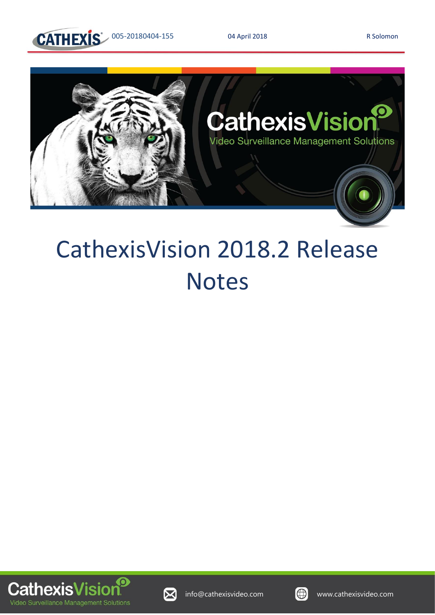



# CathexisVision 2018.2 Release Notes





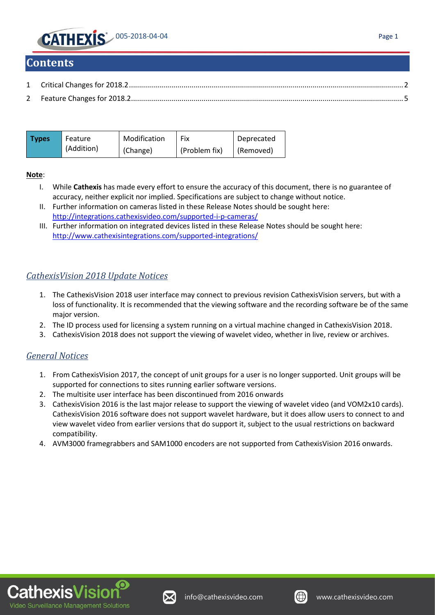

#### **Contents**

| Types | Feature    | Modification | Fix           | Deprecated |
|-------|------------|--------------|---------------|------------|
|       | (Addition) | (Change)     | (Problem fix) | (Removed)  |

#### **Note**:

- I. While **Cathexis** has made every effort to ensure the accuracy of this document, there is no guarantee of accuracy, neither explicit nor implied. Specifications are subject to change without notice.
- II. Further information on cameras listed in these Release Notes should be sought here: http://integrations.cathexisvideo.com/supported-i-p-cameras/
- III. Further information on integrated devices listed in these Release Notes should be sought here: http://www.cathexisintegrations.com/supported-integrations/

#### *CathexisVision 2018 Update Notices*

- 1. The CathexisVision 2018 user interface may connect to previous revision CathexisVision servers, but with a loss of functionality. It is recommended that the viewing software and the recording software be of the same major version.
- 2. The ID process used for licensing a system running on a virtual machine changed in CathexisVision 2018.
- 3. CathexisVision 2018 does not support the viewing of wavelet video, whether in live, review or archives.

#### *General Notices*

- 1. From CathexisVision 2017, the concept of unit groups for a user is no longer supported. Unit groups will be supported for connections to sites running earlier software versions.
- 2. The multisite user interface has been discontinued from 2016 onwards
- 3. CathexisVision 2016 is the last major release to support the viewing of wavelet video (and VOM2x10 cards). CathexisVision 2016 software does not support wavelet hardware, but it does allow users to connect to and view wavelet video from earlier versions that do support it, subject to the usual restrictions on backward compatibility.
- 4. AVM3000 framegrabbers and SAM1000 encoders are not supported from CathexisVision 2016 onwards.





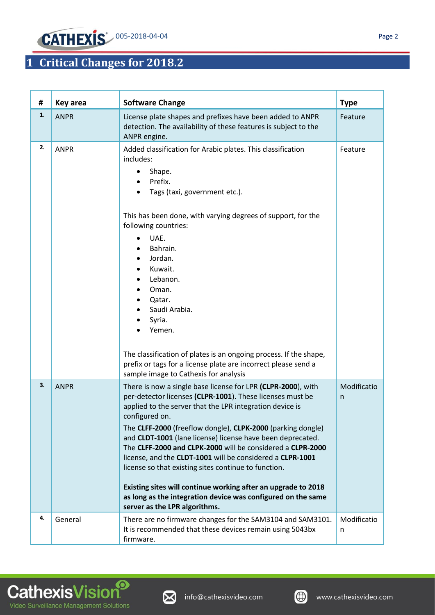

## <span id="page-2-0"></span>**1 Critical Changes for 2018.2**

| #  | <b>Key area</b> | <b>Software Change</b>                                                                                                                                                                                                                                                                                                                                                                                                                                                                                                                                                                                                                                                                    | <b>Type</b>      |
|----|-----------------|-------------------------------------------------------------------------------------------------------------------------------------------------------------------------------------------------------------------------------------------------------------------------------------------------------------------------------------------------------------------------------------------------------------------------------------------------------------------------------------------------------------------------------------------------------------------------------------------------------------------------------------------------------------------------------------------|------------------|
| 1. | <b>ANPR</b>     | License plate shapes and prefixes have been added to ANPR<br>detection. The availability of these features is subject to the<br>ANPR engine.                                                                                                                                                                                                                                                                                                                                                                                                                                                                                                                                              | Feature          |
| 2. | <b>ANPR</b>     | Added classification for Arabic plates. This classification<br>includes:<br>Shape.<br>Prefix.<br>Tags (taxi, government etc.).<br>This has been done, with varying degrees of support, for the<br>following countries:<br>UAE.<br>Bahrain.<br>Jordan.<br>Kuwait.<br>Lebanon.<br>Oman.<br>Qatar.<br>Saudi Arabia.<br>Syria.<br>Yemen.<br>The classification of plates is an ongoing process. If the shape,<br>prefix or tags for a license plate are incorrect please send a<br>sample image to Cathexis for analysis                                                                                                                                                                      | Feature          |
| 3. | <b>ANPR</b>     | There is now a single base license for LPR (CLPR-2000), with<br>per-detector licenses (CLPR-1001). These licenses must be<br>applied to the server that the LPR integration device is<br>configured on.<br>The CLFF-2000 (freeflow dongle), CLPK-2000 (parking dongle)<br>and CLDT-1001 (lane license) license have been deprecated.<br>The CLFF-2000 and CLPK-2000 will be considered a CLPR-2000<br>license, and the CLDT-1001 will be considered a CLPR-1001<br>license so that existing sites continue to function.<br>Existing sites will continue working after an upgrade to 2018<br>as long as the integration device was configured on the same<br>server as the LPR algorithms. | Modificatio<br>n |
| 4. | General         | There are no firmware changes for the SAM3104 and SAM3101.<br>It is recommended that these devices remain using 5043bx<br>firmware.                                                                                                                                                                                                                                                                                                                                                                                                                                                                                                                                                       | Modificatio<br>n |





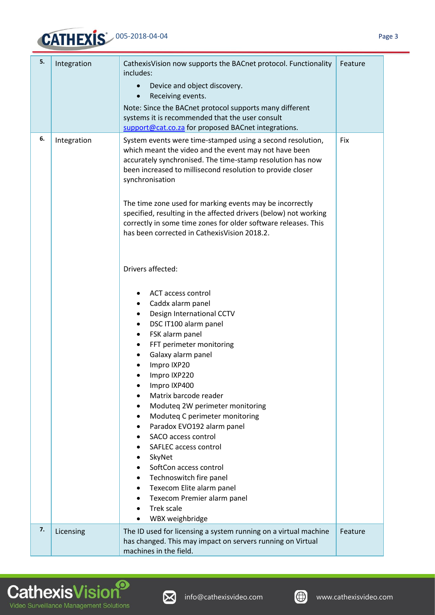## 005-2018-04-04

| 5. | Integration | CathexisVision now supports the BACnet protocol. Functionality<br>includes:<br>Device and object discovery.<br>Receiving events.<br>$\bullet$<br>Note: Since the BACnet protocol supports many different<br>systems it is recommended that the user consult<br>support@cat.co.za for proposed BACnet integrations.                                                                                                                                                                                                                                                                                                                     | Feature |
|----|-------------|----------------------------------------------------------------------------------------------------------------------------------------------------------------------------------------------------------------------------------------------------------------------------------------------------------------------------------------------------------------------------------------------------------------------------------------------------------------------------------------------------------------------------------------------------------------------------------------------------------------------------------------|---------|
| 6. | Integration | System events were time-stamped using a second resolution,<br>which meant the video and the event may not have been<br>accurately synchronised. The time-stamp resolution has now<br>been increased to millisecond resolution to provide closer<br>synchronisation<br>The time zone used for marking events may be incorrectly<br>specified, resulting in the affected drivers (below) not working<br>correctly in some time zones for older software releases. This<br>has been corrected in Cathexis Vision 2018.2.                                                                                                                  | Fix     |
|    |             | Drivers affected:<br>ACT access control<br>Caddx alarm panel<br>$\bullet$<br>Design International CCTV<br>٠<br>DSC IT100 alarm panel<br>$\bullet$<br>FSK alarm panel<br>$\bullet$<br>FFT perimeter monitoring<br>٠<br>Galaxy alarm panel<br>Impro IXP20<br>Impro IXP220<br>Impro IXP400<br>Matrix barcode reader<br>Moduteq 2W perimeter monitoring<br>Moduteq C perimeter monitoring<br>Paradox EVO192 alarm panel<br>SACO access control<br>SAFLEC access control<br>SkyNet<br>SoftCon access control<br>Technoswitch fire panel<br>Texecom Elite alarm panel<br>Texecom Premier alarm panel<br><b>Trek scale</b><br>WBX weighbridge |         |
| 7. | Licensing   | The ID used for licensing a system running on a virtual machine<br>has changed. This may impact on servers running on Virtual<br>machines in the field.                                                                                                                                                                                                                                                                                                                                                                                                                                                                                | Feature |







٦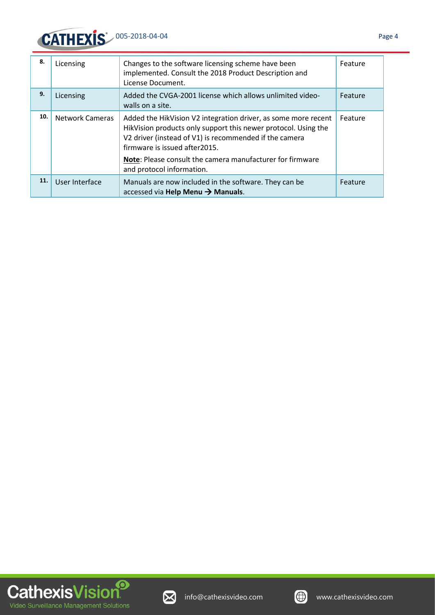

| 8.  | Licensing              | Changes to the software licensing scheme have been<br>implemented. Consult the 2018 Product Description and<br>License Document.                                                                                                                                                                                      | Feature |
|-----|------------------------|-----------------------------------------------------------------------------------------------------------------------------------------------------------------------------------------------------------------------------------------------------------------------------------------------------------------------|---------|
| 9.  | Licensing              | Added the CVGA-2001 license which allows unlimited video-<br>walls on a site.                                                                                                                                                                                                                                         | Feature |
| 10. | <b>Network Cameras</b> | Added the HikVision V2 integration driver, as some more recent<br>HikVision products only support this newer protocol. Using the<br>V2 driver (instead of V1) is recommended if the camera<br>firmware is issued after2015.<br>Note: Please consult the camera manufacturer for firmware<br>and protocol information. | Feature |
| 11. | User Interface         | Manuals are now included in the software. They can be<br>accessed via Help Menu $\rightarrow$ Manuals.                                                                                                                                                                                                                | Feature |



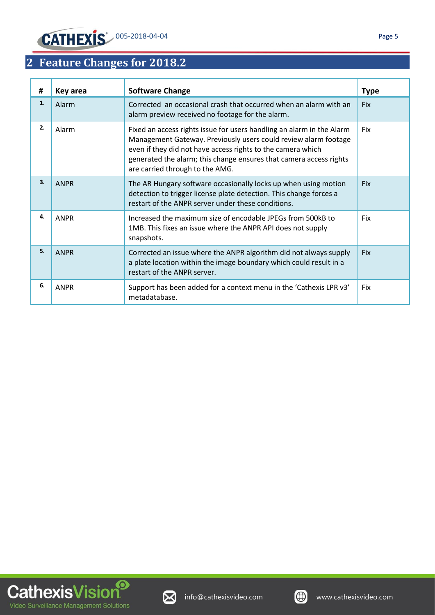## <span id="page-5-0"></span>**2 Feature Changes for 2018.2**

| #  | Key area    | <b>Software Change</b>                                                                                                                                                                                                                                                                                           | <b>Type</b> |
|----|-------------|------------------------------------------------------------------------------------------------------------------------------------------------------------------------------------------------------------------------------------------------------------------------------------------------------------------|-------------|
| 1. | Alarm       | Corrected an occasional crash that occurred when an alarm with an<br>alarm preview received no footage for the alarm.                                                                                                                                                                                            | <b>Fix</b>  |
| 2. | Alarm       | Fixed an access rights issue for users handling an alarm in the Alarm<br>Management Gateway. Previously users could review alarm footage<br>even if they did not have access rights to the camera which<br>generated the alarm; this change ensures that camera access rights<br>are carried through to the AMG. | Fix         |
| 3. | <b>ANPR</b> | The AR Hungary software occasionally locks up when using motion<br>detection to trigger license plate detection. This change forces a<br>restart of the ANPR server under these conditions.                                                                                                                      | <b>Fix</b>  |
| 4. | <b>ANPR</b> | Increased the maximum size of encodable JPEGs from 500kB to<br>1MB. This fixes an issue where the ANPR API does not supply<br>snapshots.                                                                                                                                                                         | Fix         |
| 5. | <b>ANPR</b> | Corrected an issue where the ANPR algorithm did not always supply<br>a plate location within the image boundary which could result in a<br>restart of the ANPR server.                                                                                                                                           | Fix         |
| 6. | <b>ANPR</b> | Support has been added for a context menu in the 'Cathexis LPR v3'<br>metadatabase.                                                                                                                                                                                                                              | Fix         |





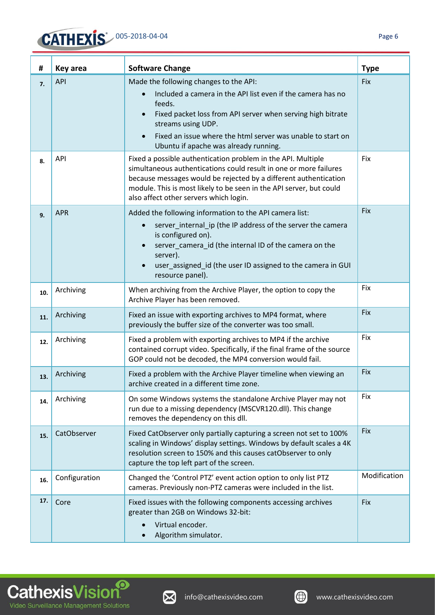| #   | Key area      | <b>Software Change</b>                                                                                                                                                                                                                                                                                                    | <b>Type</b>  |
|-----|---------------|---------------------------------------------------------------------------------------------------------------------------------------------------------------------------------------------------------------------------------------------------------------------------------------------------------------------------|--------------|
| 7.  | <b>API</b>    | Made the following changes to the API:<br>Included a camera in the API list even if the camera has no<br>$\bullet$<br>feeds.<br>Fixed packet loss from API server when serving high bitrate<br>streams using UDP.<br>Fixed an issue where the html server was unable to start on<br>Ubuntu if apache was already running. | Fix          |
| 8.  | <b>API</b>    | Fixed a possible authentication problem in the API. Multiple<br>simultaneous authentications could result in one or more failures<br>because messages would be rejected by a different authentication<br>module. This is most likely to be seen in the API server, but could<br>also affect other servers which login.    | Fix          |
| 9.  | <b>APR</b>    | Added the following information to the API camera list:<br>server_internal_ip (the IP address of the server the camera<br>$\bullet$<br>is configured on).<br>server_camera_id (the internal ID of the camera on the<br>server).<br>user_assigned_id (the user ID assigned to the camera in GUI<br>resource panel).        | Fix          |
| 10. | Archiving     | When archiving from the Archive Player, the option to copy the<br>Archive Player has been removed.                                                                                                                                                                                                                        | Fix          |
| 11. | Archiving     | Fixed an issue with exporting archives to MP4 format, where<br>previously the buffer size of the converter was too small.                                                                                                                                                                                                 | Fix          |
| 12. | Archiving     | Fixed a problem with exporting archives to MP4 if the archive<br>contained corrupt video. Specifically, if the final frame of the source<br>GOP could not be decoded, the MP4 conversion would fail.                                                                                                                      | Fix          |
| 13. | Archiving     | Fixed a problem with the Archive Player timeline when viewing an<br>archive created in a different time zone.                                                                                                                                                                                                             | Fix          |
| 14. | Archiving     | On some Windows systems the standalone Archive Player may not<br>run due to a missing dependency (MSCVR120.dll). This change<br>removes the dependency on this dll.                                                                                                                                                       | Fix          |
| 15. | CatObserver   | Fixed CatObserver only partially capturing a screen not set to 100%<br>scaling in Windows' display settings. Windows by default scales a 4K<br>resolution screen to 150% and this causes catObserver to only<br>capture the top left part of the screen.                                                                  | <b>Fix</b>   |
| 16. | Configuration | Changed the 'Control PTZ' event action option to only list PTZ<br>cameras. Previously non-PTZ cameras were included in the list.                                                                                                                                                                                          | Modification |
| 17. | Core          | Fixed issues with the following components accessing archives<br>greater than 2GB on Windows 32-bit:<br>Virtual encoder.<br>$\bullet$<br>Algorithm simulator.                                                                                                                                                             | <b>Fix</b>   |



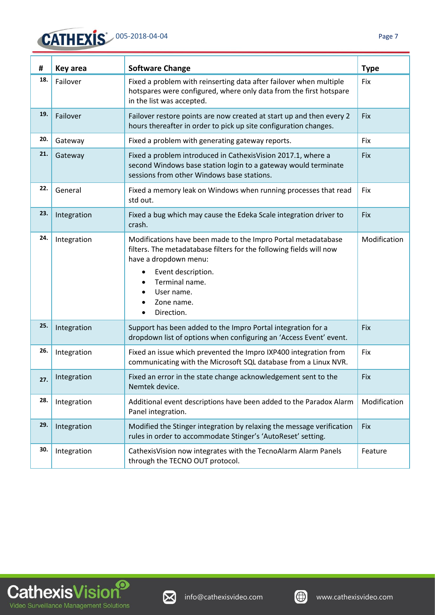| #   | Key area    | <b>Software Change</b>                                                                                                                                                                                                                                            | <b>Type</b>  |
|-----|-------------|-------------------------------------------------------------------------------------------------------------------------------------------------------------------------------------------------------------------------------------------------------------------|--------------|
| 18. | Failover    | Fixed a problem with reinserting data after failover when multiple<br>hotspares were configured, where only data from the first hotspare<br>in the list was accepted.                                                                                             | Fix          |
| 19. | Failover    | Failover restore points are now created at start up and then every 2<br>hours thereafter in order to pick up site configuration changes.                                                                                                                          | Fix          |
| 20. | Gateway     | Fixed a problem with generating gateway reports.                                                                                                                                                                                                                  | Fix          |
| 21. | Gateway     | Fixed a problem introduced in CathexisVision 2017.1, where a<br>second Windows base station login to a gateway would terminate<br>sessions from other Windows base stations.                                                                                      | Fix          |
| 22. | General     | Fixed a memory leak on Windows when running processes that read<br>std out.                                                                                                                                                                                       | Fix          |
| 23. | Integration | Fixed a bug which may cause the Edeka Scale integration driver to<br>crash.                                                                                                                                                                                       | Fix          |
| 24. | Integration | Modifications have been made to the Impro Portal metadatabase<br>filters. The metadatabase filters for the following fields will now<br>have a dropdown menu:<br>Event description.<br>$\bullet$<br>Terminal name.<br>User name.<br>Zone name.<br>Direction.<br>٠ | Modification |
| 25. | Integration | Support has been added to the Impro Portal integration for a<br>dropdown list of options when configuring an 'Access Event' event.                                                                                                                                | Fix          |
| 26. | Integration | Fixed an issue which prevented the Impro IXP400 integration from<br>communicating with the Microsoft SQL database from a Linux NVR.                                                                                                                               | Fix          |
| 27. | Integration | Fixed an error in the state change acknowledgement sent to the<br>Nemtek device.                                                                                                                                                                                  | Fix          |
| 28. | Integration | Additional event descriptions have been added to the Paradox Alarm<br>Panel integration.                                                                                                                                                                          | Modification |
| 29. | Integration | Modified the Stinger integration by relaxing the message verification<br>rules in order to accommodate Stinger's 'AutoReset' setting.                                                                                                                             | Fix          |
| 30. | Integration | CathexisVision now integrates with the TecnoAlarm Alarm Panels<br>through the TECNO OUT protocol.                                                                                                                                                                 | Feature      |





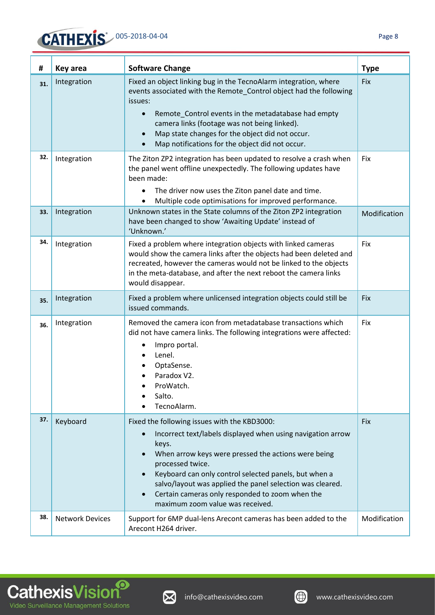

**CathexisVision** 

Video Surveillance Management Solutions

| #   | Key area               | <b>Software Change</b>                                                                                                                                                                                                                                                                                                                                                                                                    | <b>Type</b>  |
|-----|------------------------|---------------------------------------------------------------------------------------------------------------------------------------------------------------------------------------------------------------------------------------------------------------------------------------------------------------------------------------------------------------------------------------------------------------------------|--------------|
| 31. | Integration            | Fixed an object linking bug in the TecnoAlarm integration, where<br>events associated with the Remote_Control object had the following<br>issues:<br>Remote Control events in the metadatabase had empty<br>$\bullet$<br>camera links (footage was not being linked).<br>Map state changes for the object did not occur.<br>Map notifications for the object did not occur.                                               | Fix          |
| 32. | Integration            | The Ziton ZP2 integration has been updated to resolve a crash when<br>the panel went offline unexpectedly. The following updates have<br>been made:<br>The driver now uses the Ziton panel date and time.<br>$\bullet$<br>Multiple code optimisations for improved performance.                                                                                                                                           | Fix          |
| 33. | Integration            | Unknown states in the State columns of the Ziton ZP2 integration<br>have been changed to show 'Awaiting Update' instead of<br>'Unknown.'                                                                                                                                                                                                                                                                                  | Modification |
| 34. | Integration            | Fixed a problem where integration objects with linked cameras<br>would show the camera links after the objects had been deleted and<br>recreated, however the cameras would not be linked to the objects<br>in the meta-database, and after the next reboot the camera links<br>would disappear.                                                                                                                          | Fix          |
| 35. | Integration            | Fixed a problem where unlicensed integration objects could still be<br>issued commands.                                                                                                                                                                                                                                                                                                                                   | Fix          |
| 36. | Integration            | Removed the camera icon from metadatabase transactions which<br>did not have camera links. The following integrations were affected:<br>Impro portal.<br>Lenel.<br>OptaSense.<br>Paradox V2.<br>ProWatch.<br>Salto.<br>TecnoAlarm.                                                                                                                                                                                        | Fix          |
| 37. | Keyboard               | Fixed the following issues with the KBD3000:<br>Incorrect text/labels displayed when using navigation arrow<br>$\bullet$<br>keys.<br>When arrow keys were pressed the actions were being<br>processed twice.<br>Keyboard can only control selected panels, but when a<br>salvo/layout was applied the panel selection was cleared.<br>Certain cameras only responded to zoom when the<br>maximum zoom value was received. | Fix          |
| 38. | <b>Network Devices</b> | Support for 6MP dual-lens Arecont cameras has been added to the<br>Arecont H264 driver.                                                                                                                                                                                                                                                                                                                                   | Modification |

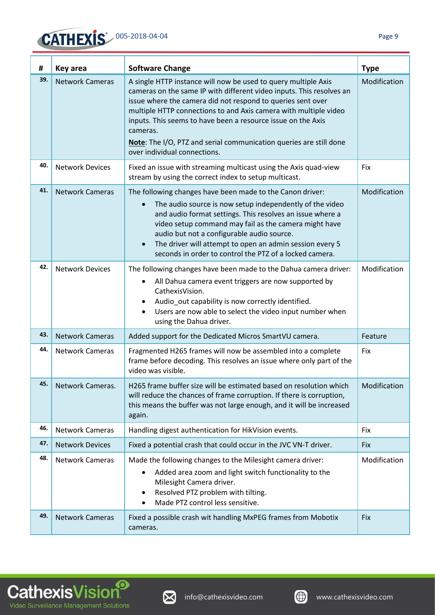

| #   | Key area               | <b>Software Change</b>                                                                                                                                                                                                                                                                                                                                                                                                                                      | <b>Type</b>  |
|-----|------------------------|-------------------------------------------------------------------------------------------------------------------------------------------------------------------------------------------------------------------------------------------------------------------------------------------------------------------------------------------------------------------------------------------------------------------------------------------------------------|--------------|
| 39. | <b>Network Cameras</b> | A single HTTP instance will now be used to query multiple Axis<br>cameras on the same IP with different video inputs. This resolves an<br>issue where the camera did not respond to queries sent over<br>multiple HTTP connections to and Axis camera with multiple video<br>inputs. This seems to have been a resource issue on the Axis<br>cameras.<br>Note: The I/O, PTZ and serial communication queries are still done<br>over individual connections. | Modification |
| 40. | <b>Network Devices</b> | Fixed an issue with streaming multicast using the Axis quad-view<br>stream by using the correct index to setup multicast.                                                                                                                                                                                                                                                                                                                                   | Fix          |
| 41. | <b>Network Cameras</b> | The following changes have been made to the Canon driver:<br>The audio source is now setup independently of the video<br>$\bullet$<br>and audio format settings. This resolves an issue where a<br>video setup command may fail as the camera might have<br>audio but not a configurable audio source.<br>The driver will attempt to open an admin session every 5<br>$\bullet$<br>seconds in order to control the PTZ of a locked camera.                  | Modification |
| 42. | <b>Network Devices</b> | The following changes have been made to the Dahua camera driver:<br>All Dahua camera event triggers are now supported by<br>$\bullet$<br>CathexisVision.<br>Audio_out capability is now correctly identified.<br>٠<br>Users are now able to select the video input number when<br>$\bullet$<br>using the Dahua driver.                                                                                                                                      | Modification |
| 43. | <b>Network Cameras</b> | Added support for the Dedicated Micros SmartVU camera.                                                                                                                                                                                                                                                                                                                                                                                                      | Feature      |
| 44. | <b>Network Cameras</b> | Fragmented H265 frames will now be assembled into a complete<br>frame before decoding. This resolves an issue where only part of the<br>video was visible.                                                                                                                                                                                                                                                                                                  | Fix          |
| 45. | Network Cameras.       | H265 frame buffer size will be estimated based on resolution which<br>will reduce the chances of frame corruption. If there is corruption,<br>this means the buffer was not large enough, and it will be increased<br>again.                                                                                                                                                                                                                                | Modification |
| 46. | <b>Network Cameras</b> | Handling digest authentication for HikVision events.                                                                                                                                                                                                                                                                                                                                                                                                        | Fix          |
| 47. | <b>Network Devices</b> | Fixed a potential crash that could occur in the JVC VN-T driver.                                                                                                                                                                                                                                                                                                                                                                                            | Fix          |
| 48. | <b>Network Cameras</b> | Made the following changes to the Milesight camera driver:<br>Added area zoom and light switch functionality to the<br>٠<br>Milesight Camera driver.<br>Resolved PTZ problem with tilting.<br>Made PTZ control less sensitive.                                                                                                                                                                                                                              | Modification |
| 49. | <b>Network Cameras</b> | Fixed a possible crash wit handling MxPEG frames from Mobotix<br>cameras.                                                                                                                                                                                                                                                                                                                                                                                   | Fix          |



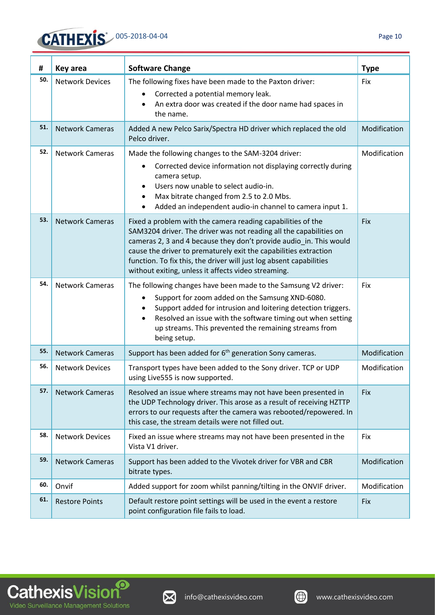

| #   | Key area               | <b>Software Change</b>                                                                                                                                                                                                                                                                                                                                                                                    | <b>Type</b>  |
|-----|------------------------|-----------------------------------------------------------------------------------------------------------------------------------------------------------------------------------------------------------------------------------------------------------------------------------------------------------------------------------------------------------------------------------------------------------|--------------|
| 50. | <b>Network Devices</b> | The following fixes have been made to the Paxton driver:<br>Corrected a potential memory leak.<br>٠<br>An extra door was created if the door name had spaces in<br>the name.                                                                                                                                                                                                                              | Fix          |
| 51. | <b>Network Cameras</b> | Added A new Pelco Sarix/Spectra HD driver which replaced the old<br>Pelco driver.                                                                                                                                                                                                                                                                                                                         | Modification |
| 52. | <b>Network Cameras</b> | Made the following changes to the SAM-3204 driver:<br>Corrected device information not displaying correctly during<br>٠<br>camera setup.<br>Users now unable to select audio-in.<br>Max bitrate changed from 2.5 to 2.0 Mbs.<br>٠<br>Added an independent audio-in channel to camera input 1.<br>٠                                                                                                        | Modification |
| 53. | <b>Network Cameras</b> | Fixed a problem with the camera reading capabilities of the<br>SAM3204 driver. The driver was not reading all the capabilities on<br>cameras 2, 3 and 4 because they don't provide audio in. This would<br>cause the driver to prematurely exit the capabilities extraction<br>function. To fix this, the driver will just log absent capabilities<br>without exiting, unless it affects video streaming. | Fix          |
| 54. | <b>Network Cameras</b> | The following changes have been made to the Samsung V2 driver:<br>Support for zoom added on the Samsung XND-6080.<br>$\bullet$<br>Support added for intrusion and loitering detection triggers.<br>Resolved an issue with the software timing out when setting<br>٠<br>up streams. This prevented the remaining streams from<br>being setup.                                                              | Fix          |
| 55. | <b>Network Cameras</b> | Support has been added for 6 <sup>th</sup> generation Sony cameras.                                                                                                                                                                                                                                                                                                                                       | Modification |
| 56. | <b>Network Devices</b> | Transport types have been added to the Sony driver. TCP or UDP<br>using Live555 is now supported.                                                                                                                                                                                                                                                                                                         | Modification |
| 57. | <b>Network Cameras</b> | Resolved an issue where streams may not have been presented in<br>the UDP Technology driver. This arose as a result of receiving HZTTP<br>errors to our requests after the camera was rebooted/repowered. In<br>this case, the stream details were not filled out.                                                                                                                                        | Fix          |
| 58. | <b>Network Devices</b> | Fixed an issue where streams may not have been presented in the<br>Vista V1 driver.                                                                                                                                                                                                                                                                                                                       | Fix          |
| 59. | <b>Network Cameras</b> | Support has been added to the Vivotek driver for VBR and CBR<br>bitrate types.                                                                                                                                                                                                                                                                                                                            | Modification |
| 60. | Onvif                  | Added support for zoom whilst panning/tilting in the ONVIF driver.                                                                                                                                                                                                                                                                                                                                        | Modification |
| 61. | <b>Restore Points</b>  | Default restore point settings will be used in the event a restore<br>point configuration file fails to load.                                                                                                                                                                                                                                                                                             | Fix          |